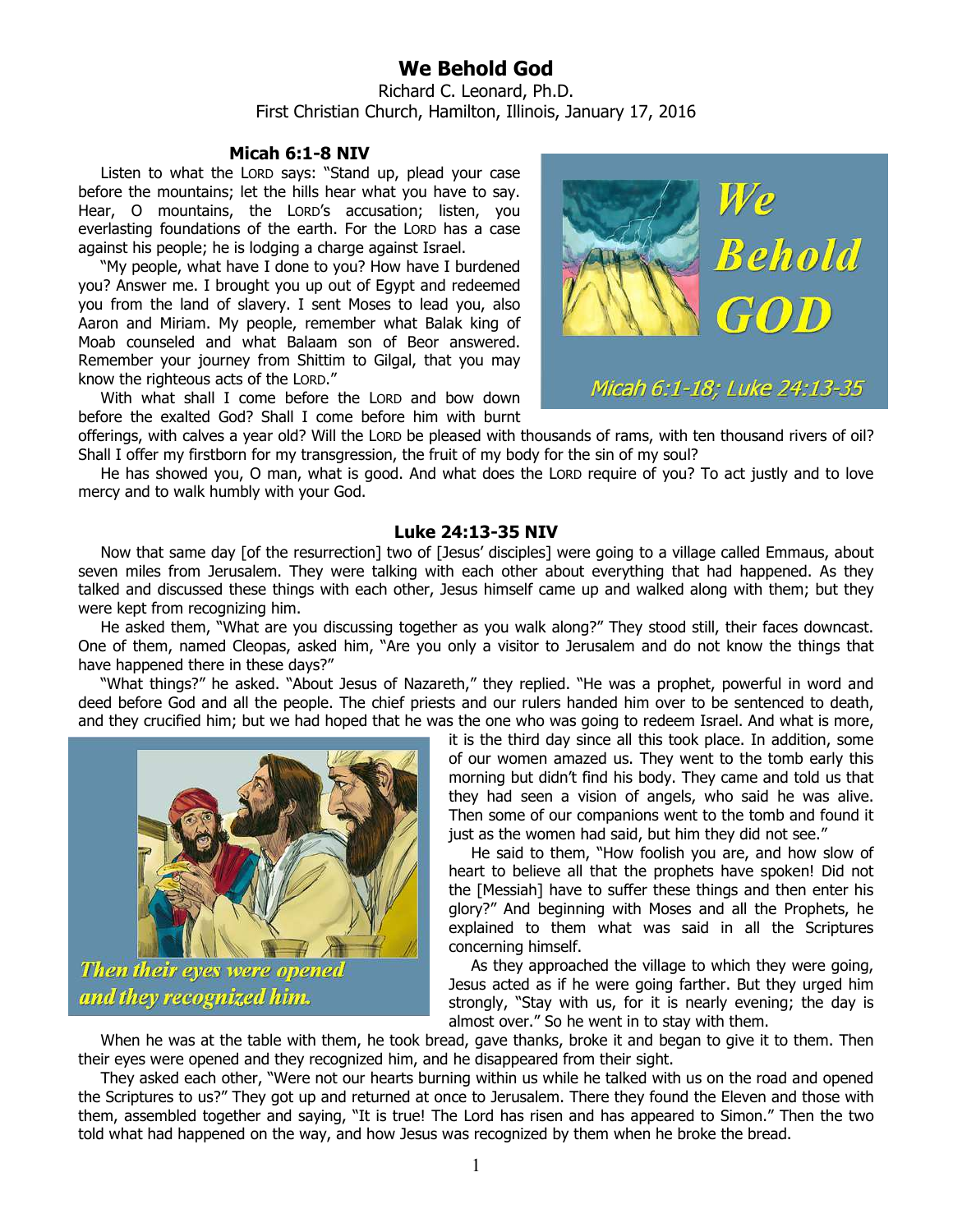## **We Behold God**

Richard C. Leonard, Ph.D. First Christian Church, Hamilton, Illinois, January 17, 2016

## **Micah 6:1-8 NIV**

Listen to what the LORD says: "Stand up, plead your case before the mountains; let the hills hear what you have to say. Hear, O mountains, the LORD's accusation; listen, you everlasting foundations of the earth. For the LORD has a case against his people; he is lodging a charge against Israel.

"My people, what have I done to you? How have I burdened you? Answer me. I brought you up out of Egypt and redeemed you from the land of slavery. I sent Moses to lead you, also Aaron and Miriam. My people, remember what Balak king of Moab counseled and what Balaam son of Beor answered. Remember your journey from Shittim to Gilgal, that you may know the righteous acts of the LORD."

With what shall I come before the LORD and bow down before the exalted God? Shall I come before him with burnt



offerings, with calves a year old? Will the LORD be pleased with thousands of rams, with ten thousand rivers of oil? Shall I offer my firstborn for my transgression, the fruit of my body for the sin of my soul?

He has showed you, O man, what is good. And what does the LORD require of you? To act justly and to love mercy and to walk humbly with your God.

## **Luke 24:13-35 NIV**

Now that same day [of the resurrection] two of [Jesus' disciples] were going to a village called Emmaus, about seven miles from Jerusalem. They were talking with each other about everything that had happened. As they talked and discussed these things with each other, Jesus himself came up and walked along with them; but they were kept from recognizing him.

He asked them, "What are you discussing together as you walk along?" They stood still, their faces downcast. One of them, named Cleopas, asked him, "Are you only a visitor to Jerusalem and do not know the things that have happened there in these days?"

"What things?" he asked. "About Jesus of Nazareth," they replied. "He was a prophet, powerful in word and deed before God and all the people. The chief priests and our rulers handed him over to be sentenced to death, and they crucified him; but we had hoped that he was the one who was going to redeem Israel. And what is more,



Then their eyes were opened and they recognized him.

it is the third day since all this took place. In addition, some of our women amazed us. They went to the tomb early this morning but didn't find his body. They came and told us that they had seen a vision of angels, who said he was alive. Then some of our companions went to the tomb and found it just as the women had said, but him they did not see."

He said to them, "How foolish you are, and how slow of heart to believe all that the prophets have spoken! Did not the [Messiah] have to suffer these things and then enter his glory?" And beginning with Moses and all the Prophets, he explained to them what was said in all the Scriptures concerning himself.

As they approached the village to which they were going, Jesus acted as if he were going farther. But they urged him strongly, "Stay with us, for it is nearly evening; the day is almost over." So he went in to stay with them.

When he was at the table with them, he took bread, gave thanks, broke it and began to give it to them. Then their eyes were opened and they recognized him, and he disappeared from their sight.

They asked each other, "Were not our hearts burning within us while he talked with us on the road and opened the Scriptures to us?" They got up and returned at once to Jerusalem. There they found the Eleven and those with them, assembled together and saying, "It is true! The Lord has risen and has appeared to Simon." Then the two told what had happened on the way, and how Jesus was recognized by them when he broke the bread.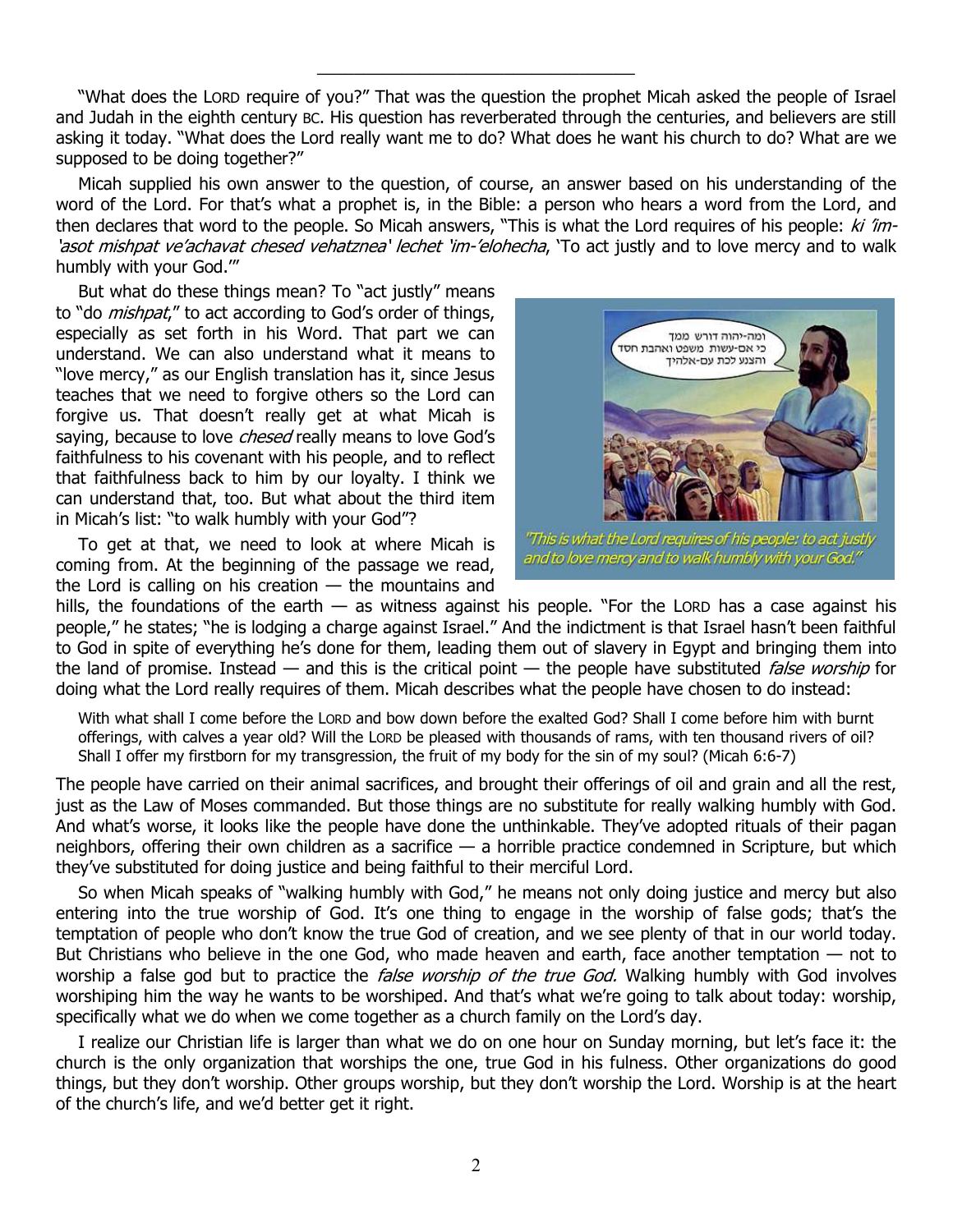"What does the LORD require of you?" That was the question the prophet Micah asked the people of Israel and Judah in the eighth century BC. His question has reverberated through the centuries, and believers are still asking it today. "What does the Lord really want me to do? What does he want his church to do? What are we supposed to be doing together?"

\_\_\_\_\_\_\_\_\_\_\_\_\_\_\_\_\_\_\_\_\_\_\_\_\_\_\_\_\_\_\_\_\_\_

Micah supplied his own answer to the question, of course, an answer based on his understanding of the word of the Lord. For that's what a prophet is, in the Bible: a person who hears a word from the Lord, and then declares that word to the people. So Micah answers, "This is what the Lord requires of his people:  $ki$  'im-'asot mishpat ve'achavat chesed vehatznea' lechet 'im-'elohecha, 'To act justly and to love mercy and to walk humbly with your God.'"

But what do these things mean? To "act justly" means to "do *mishpat*," to act according to God's order of things, especially as set forth in his Word. That part we can understand. We can also understand what it means to "love mercy," as our English translation has it, since Jesus teaches that we need to forgive others so the Lord can forgive us. That doesn't really get at what Micah is saying, because to love *chesed* really means to love God's faithfulness to his covenant with his people, and to reflect that faithfulness back to him by our loyalty. I think we can understand that, too. But what about the third item in Micah's list: "to walk humbly with your God"?

To get at that, we need to look at where Micah is coming from. At the beginning of the passage we read, the Lord is calling on his creation  $-$  the mountains and



'This is what the Lord requires of his people: to act justly and to love mercy and to walk humbly with your God."

hills, the foundations of the earth  $-$  as witness against his people. "For the LORD has a case against his people," he states; "he is lodging a charge against Israel." And the indictment is that Israel hasn't been faithful to God in spite of everything he's done for them, leading them out of slavery in Egypt and bringing them into the land of promise. Instead — and this is the critical point — the people have substituted *false worship* for doing what the Lord really requires of them. Micah describes what the people have chosen to do instead:

With what shall I come before the LORD and bow down before the exalted God? Shall I come before him with burnt offerings, with calves a year old? Will the LORD be pleased with thousands of rams, with ten thousand rivers of oil? Shall I offer my firstborn for my transgression, the fruit of my body for the sin of my soul? (Micah 6:6-7)

The people have carried on their animal sacrifices, and brought their offerings of oil and grain and all the rest, just as the Law of Moses commanded. But those things are no substitute for really walking humbly with God. And what's worse, it looks like the people have done the unthinkable. They've adopted rituals of their pagan neighbors, offering their own children as a sacrifice — a horrible practice condemned in Scripture, but which they've substituted for doing justice and being faithful to their merciful Lord.

So when Micah speaks of "walking humbly with God," he means not only doing justice and mercy but also entering into the true worship of God. It's one thing to engage in the worship of false gods; that's the temptation of people who don't know the true God of creation, and we see plenty of that in our world today. But Christians who believe in the one God, who made heaven and earth, face another temptation — not to worship a false god but to practice the *false worship of the true God.* Walking humbly with God involves worshiping him the way he wants to be worshiped. And that's what we're going to talk about today: worship, specifically what we do when we come together as a church family on the Lord's day.

I realize our Christian life is larger than what we do on one hour on Sunday morning, but let's face it: the church is the only organization that worships the one, true God in his fulness. Other organizations do good things, but they don't worship. Other groups worship, but they don't worship the Lord. Worship is at the heart of the church's life, and we'd better get it right.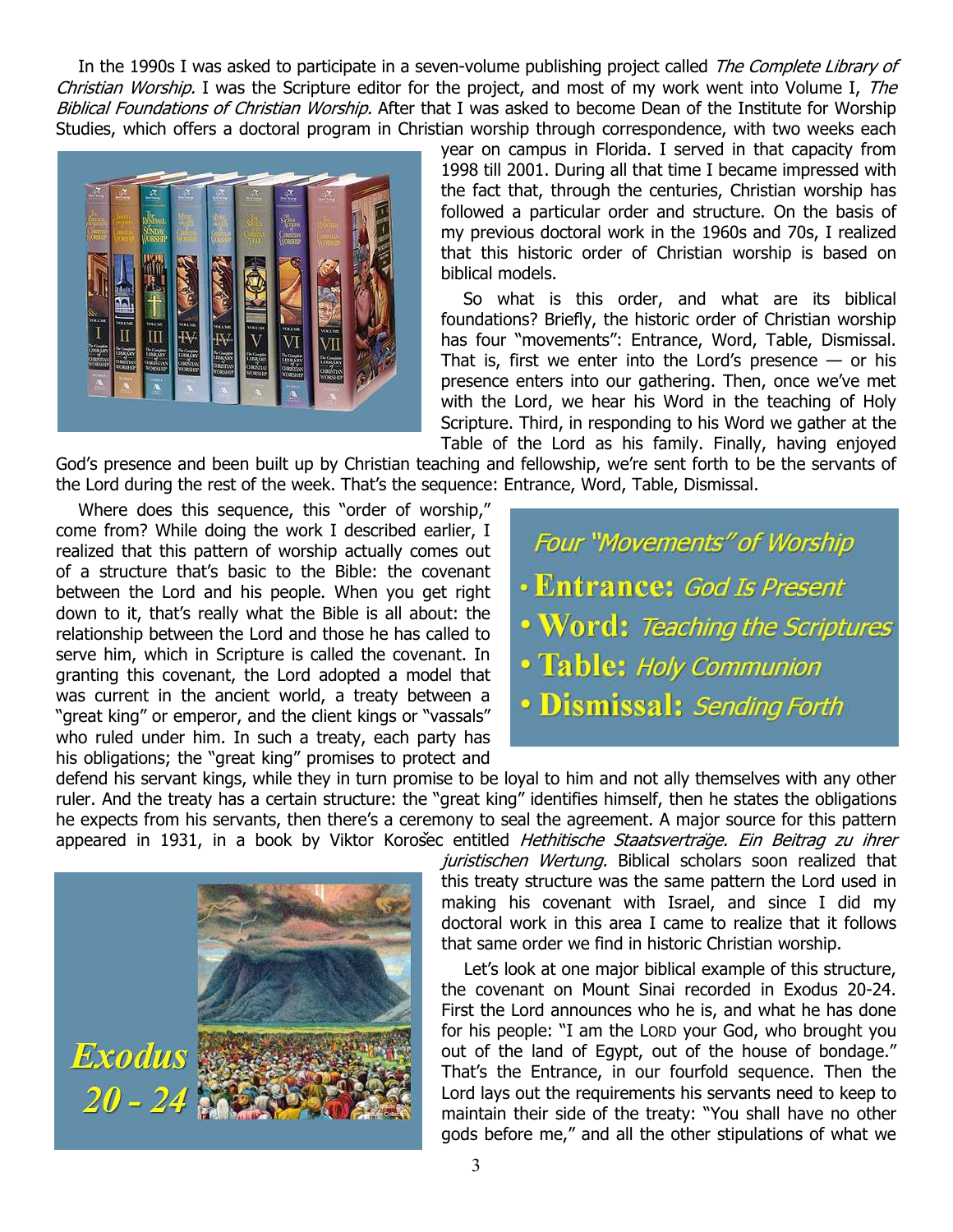In the 1990s I was asked to participate in a seven-volume publishing project called The Complete Library of Christian Worship. I was the Scripture editor for the project, and most of my work went into Volume I, The Biblical Foundations of Christian Worship. After that I was asked to become Dean of the Institute for Worship Studies, which offers a doctoral program in Christian worship through correspondence, with two weeks each



year on campus in Florida. I served in that capacity from 1998 till 2001. During all that time I became impressed with the fact that, through the centuries, Christian worship has followed a particular order and structure. On the basis of my previous doctoral work in the 1960s and 70s, I realized that this historic order of Christian worship is based on biblical models.

So what is this order, and what are its biblical foundations? Briefly, the historic order of Christian worship has four "movements": Entrance, Word, Table, Dismissal. That is, first we enter into the Lord's presence  $-$  or his presence enters into our gathering. Then, once we've met with the Lord, we hear his Word in the teaching of Holy Scripture. Third, in responding to his Word we gather at the Table of the Lord as his family. Finally, having enjoyed

God's presence and been built up by Christian teaching and fellowship, we're sent forth to be the servants of the Lord during the rest of the week. That's the sequence: Entrance, Word, Table, Dismissal.

Where does this sequence, this "order of worship," come from? While doing the work I described earlier, I realized that this pattern of worship actually comes out of a structure that's basic to the Bible: the covenant between the Lord and his people. When you get right down to it, that's really what the Bible is all about: the relationship between the Lord and those he has called to serve him, which in Scripture is called the covenant. In granting this covenant, the Lord adopted a model that was current in the ancient world, a treaty between a "great king" or emperor, and the client kings or "vassals" who ruled under him. In such a treaty, each party has his obligations; the "great king" promises to protect and

**Four "Movements" of Worship** • Entrance: God Is Present . Word: Teaching the Scriptures · Table: Holy Communion · Dismissal: Sending Forth

defend his servant kings, while they in turn promise to be loyal to him and not ally themselves with any other ruler. And the treaty has a certain structure: the "great king" identifies himself, then he states the obligations he expects from his servants, then there's a ceremony to seal the agreement. A major source for this pattern appeared in 1931, in a book by Viktor Korošec entitled Hethitische Staatsverträge. Ein Beitrag zu ihrer



juristischen Wertung. Biblical scholars soon realized that this treaty structure was the same pattern the Lord used in making his covenant with Israel, and since I did my doctoral work in this area I came to realize that it follows that same order we find in historic Christian worship.

Let's look at one major biblical example of this structure, the covenant on Mount Sinai recorded in Exodus 20-24. First the Lord announces who he is, and what he has done for his people: "I am the LORD your God, who brought you out of the land of Egypt, out of the house of bondage." That's the Entrance, in our fourfold sequence. Then the Lord lays out the requirements his servants need to keep to maintain their side of the treaty: "You shall have no other gods before me," and all the other stipulations of what we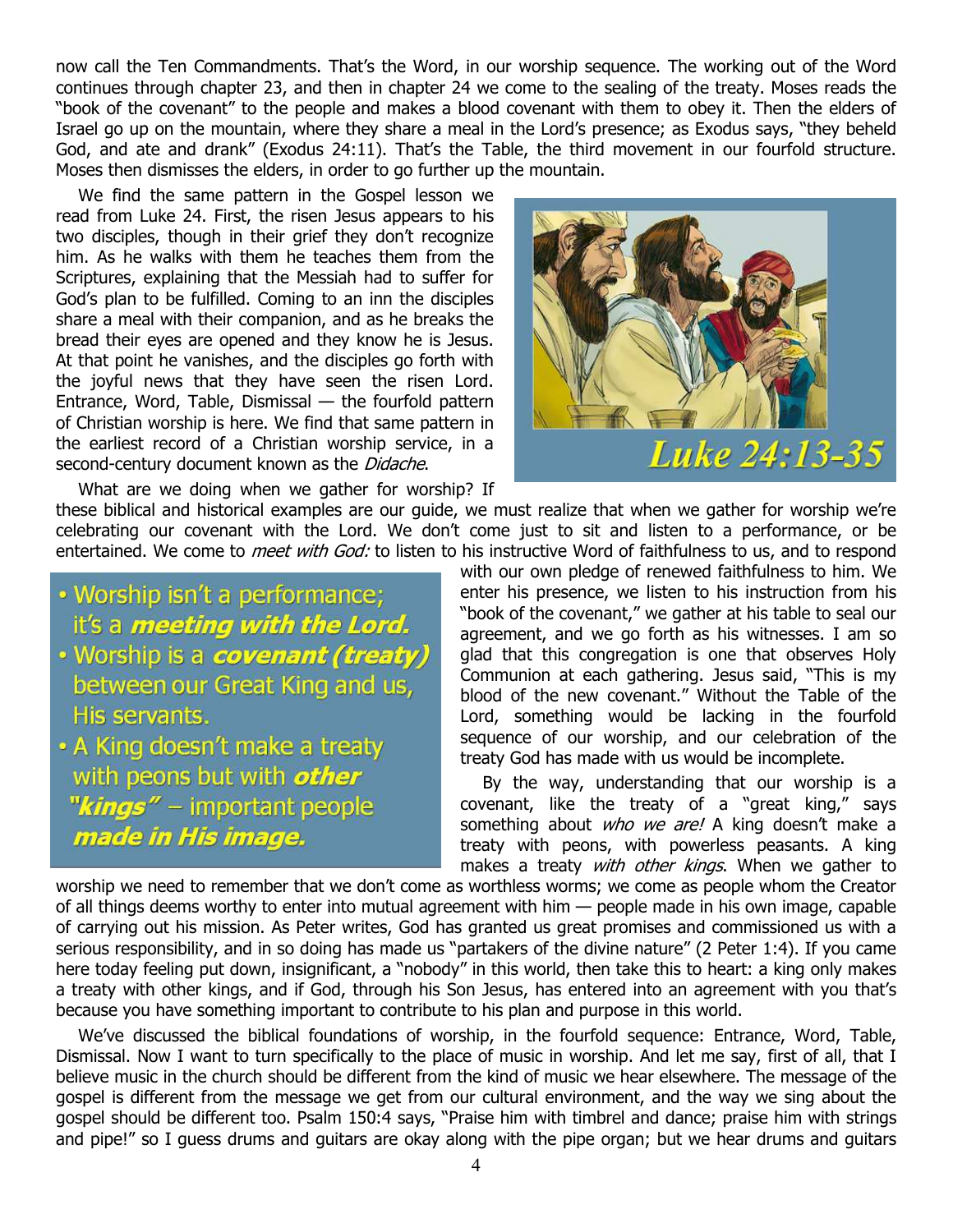now call the Ten Commandments. That's the Word, in our worship sequence. The working out of the Word continues through chapter 23, and then in chapter 24 we come to the sealing of the treaty. Moses reads the "book of the covenant" to the people and makes a blood covenant with them to obey it. Then the elders of Israel go up on the mountain, where they share a meal in the Lord's presence; as Exodus says, "they beheld God, and ate and drank" (Exodus 24:11). That's the Table, the third movement in our fourfold structure. Moses then dismisses the elders, in order to go further up the mountain.

We find the same pattern in the Gospel lesson we read from Luke 24. First, the risen Jesus appears to his two disciples, though in their grief they don't recognize him. As he walks with them he teaches them from the Scriptures, explaining that the Messiah had to suffer for God's plan to be fulfilled. Coming to an inn the disciples share a meal with their companion, and as he breaks the bread their eyes are opened and they know he is Jesus. At that point he vanishes, and the disciples go forth with the joyful news that they have seen the risen Lord. Entrance, Word, Table, Dismissal — the fourfold pattern of Christian worship is here. We find that same pattern in the earliest record of a Christian worship service, in a second-century document known as the *Didache*.

What are we doing when we gather for worship? If these biblical and historical examples are our guide, we must realize that when we gather for worship we're celebrating our covenant with the Lord. We don't come just to sit and listen to a performance, or be entertained. We come to *meet with God:* to listen to his instructive Word of faithfulness to us, and to respond

- · Worship isn't a performance; it's a meeting with the Lord.
- · Worship is a covenant (treaty) between our Great King and us, His servants.
- A King doesn't make a treaty with peons but with other "kings" - important people made in His image.



with our own pledge of renewed faithfulness to him. We enter his presence, we listen to his instruction from his "book of the covenant," we gather at his table to seal our agreement, and we go forth as his witnesses. I am so glad that this congregation is one that observes Holy Communion at each gathering. Jesus said, "This is my blood of the new covenant." Without the Table of the Lord, something would be lacking in the fourfold sequence of our worship, and our celebration of the treaty God has made with us would be incomplete.

By the way, understanding that our worship is a covenant, like the treaty of a "great king," says something about *who we are!* A king doesn't make a treaty with peons, with powerless peasants. A king makes a treaty with other kings. When we gather to

worship we need to remember that we don't come as worthless worms; we come as people whom the Creator of all things deems worthy to enter into mutual agreement with him — people made in his own image, capable of carrying out his mission. As Peter writes, God has granted us great promises and commissioned us with a serious responsibility, and in so doing has made us "partakers of the divine nature" (2 Peter 1:4). If you came here today feeling put down, insignificant, a "nobody" in this world, then take this to heart: a king only makes a treaty with other kings, and if God, through his Son Jesus, has entered into an agreement with you that's because you have something important to contribute to his plan and purpose in this world.

We've discussed the biblical foundations of worship, in the fourfold sequence: Entrance, Word, Table, Dismissal. Now I want to turn specifically to the place of music in worship. And let me say, first of all, that I believe music in the church should be different from the kind of music we hear elsewhere. The message of the gospel is different from the message we get from our cultural environment, and the way we sing about the gospel should be different too. Psalm 150:4 says, "Praise him with timbrel and dance; praise him with strings and pipe!" so I guess drums and guitars are okay along with the pipe organ; but we hear drums and guitars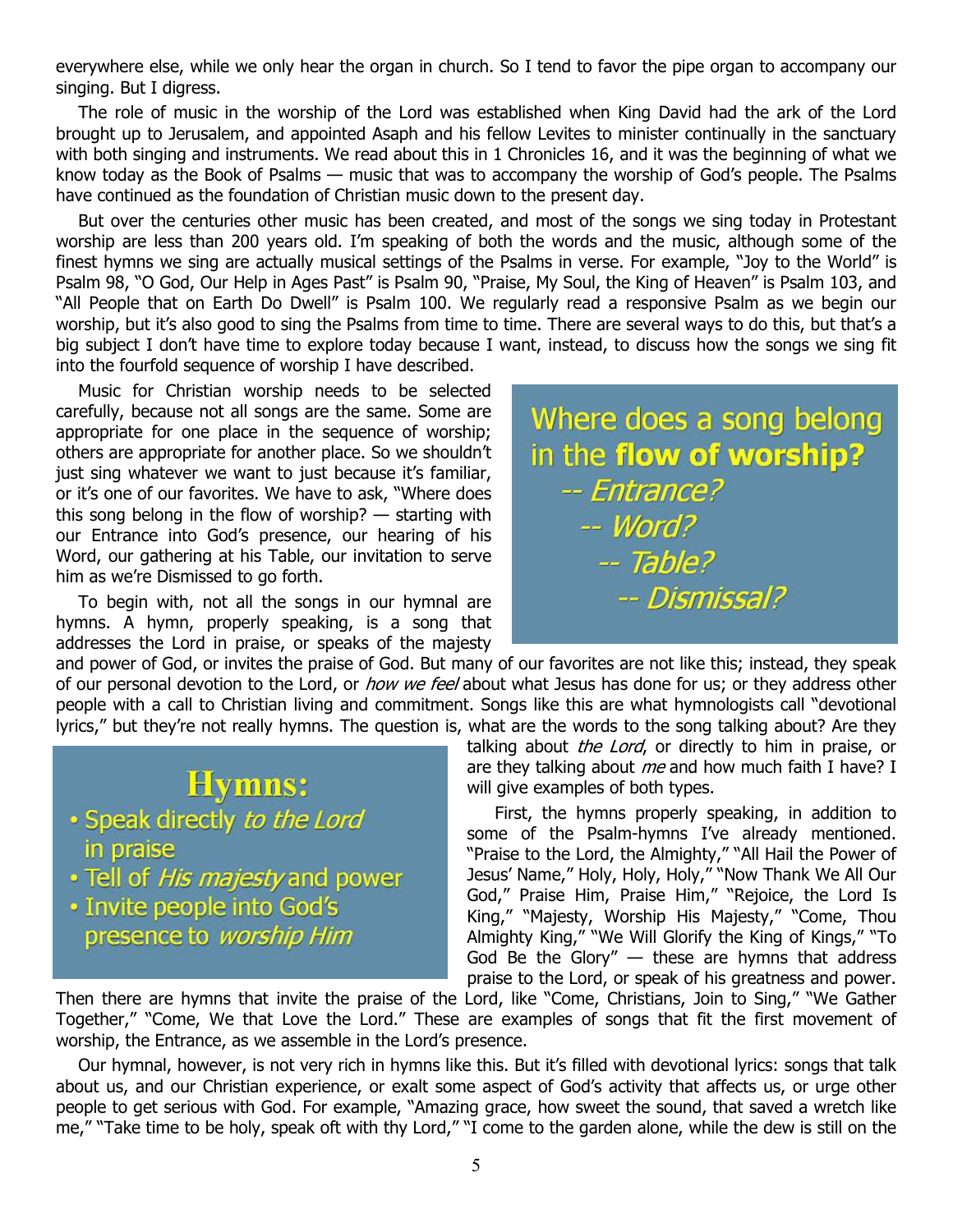everywhere else, while we only hear the organ in church. So I tend to favor the pipe organ to accompany our singing. But I digress.

The role of music in the worship of the Lord was established when King David had the ark of the Lord brought up to Jerusalem, and appointed Asaph and his fellow Levites to minister continually in the sanctuary with both singing and instruments. We read about this in 1 Chronicles 16, and it was the beginning of what we know today as the Book of Psalms — music that was to accompany the worship of God's people. The Psalms have continued as the foundation of Christian music down to the present day.

But over the centuries other music has been created, and most of the songs we sing today in Protestant worship are less than 200 years old. I'm speaking of both the words and the music, although some of the finest hymns we sing are actually musical settings of the Psalms in verse. For example, "Joy to the World" is Psalm 98, "O God, Our Help in Ages Past" is Psalm 90, "Praise, My Soul, the King of Heaven" is Psalm 103, and "All People that on Earth Do Dwell" is Psalm 100. We regularly read a responsive Psalm as we begin our worship, but it's also good to sing the Psalms from time to time. There are several ways to do this, but that's a big subject I don't have time to explore today because I want, instead, to discuss how the songs we sing fit into the fourfold sequence of worship I have described.

Music for Christian worship needs to be selected carefully, because not all songs are the same. Some are appropriate for one place in the sequence of worship; others are appropriate for another place. So we shouldn't just sing whatever we want to just because it's familiar, or it's one of our favorites. We have to ask, "Where does this song belong in the flow of worship? — starting with our Entrance into God's presence, our hearing of his Word, our gathering at his Table, our invitation to serve him as we're Dismissed to go forth.

To begin with, not all the songs in our hymnal are hymns. A hymn, properly speaking, is a song that addresses the Lord in praise, or speaks of the majesty Where does a song belong in the flow of worship? -- Entrance?  $-Word?$  $-$  Table? -- Dismissal?

and power of God, or invites the praise of God. But many of our favorites are not like this; instead, they speak of our personal devotion to the Lord, or *how we feel* about what Jesus has done for us; or they address other people with a call to Christian living and commitment. Songs like this are what hymnologists call "devotional lyrics," but they're not really hymns. The question is, what are the words to the song talking about? Are they

## **Hymns:**

- · Speak directly to the Lord in praise
- · Tell of His majesty and power
- · Invite people into God's presence to worship Him

talking about *the Lord*, or directly to him in praise, or are they talking about  $me$  and how much faith I have? I will give examples of both types.

 First, the hymns properly speaking, in addition to some of the Psalm-hymns I've already mentioned. "Praise to the Lord, the Almighty," "All Hail the Power of Jesus' Name," Holy, Holy, Holy," "Now Thank We All Our God," Praise Him, Praise Him," "Rejoice, the Lord Is King," "Majesty, Worship His Majesty," "Come, Thou Almighty King," "We Will Glorify the King of Kings," "To God Be the Glory"  $-$  these are hymns that address praise to the Lord, or speak of his greatness and power.

Then there are hymns that invite the praise of the Lord, like "Come, Christians, Join to Sing," "We Gather Together," "Come, We that Love the Lord." These are examples of songs that fit the first movement of worship, the Entrance, as we assemble in the Lord's presence.

Our hymnal, however, is not very rich in hymns like this. But it's filled with devotional lyrics: songs that talk about us, and our Christian experience, or exalt some aspect of God's activity that affects us, or urge other people to get serious with God. For example, "Amazing grace, how sweet the sound, that saved a wretch like me," "Take time to be holy, speak oft with thy Lord," "I come to the garden alone, while the dew is still on the